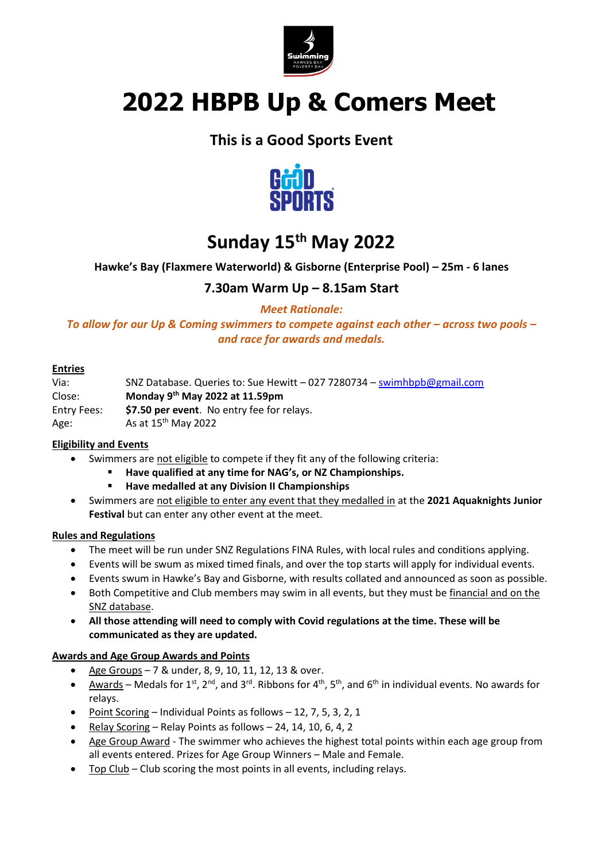

# **2022 HBPB Up & Comers Meet**

### **This is a Good Sports Event**



## **Sunday 15th May 2022**

#### **Hawke's Bay (Flaxmere Waterworld) & Gisborne (Enterprise Pool) – 25m - 6 lanes**

### **7.30am Warm Up – 8.15am Start**

*Meet Rationale:*

*To allow for our Up & Coming swimmers to compete against each other – across two pools – and race for awards and medals.*

#### **Entries**

Via: SNZ Database. Queries to: Sue Hewitt – 027 7280734 – [swimhbpb@gmail.com](mailto:swimhbpb@gmail.com) Close: **Monday 9 th May 2022 at 11.59pm** Entry Fees: **\$7.50 per event**. No entry fee for relays. Age:  $\frac{15^{th}}{15^{th}}$  May 2022

#### **Eligibility and Events**

- Swimmers are not eligible to compete if they fit any of the following criteria:
	- **Have qualified at any time for NAG's, or NZ Championships.**
	- **Have medalled at any Division II Championships**
- Swimmers are not eligible to enter any event that they medalled in at the **2021 Aquaknights Junior Festival** but can enter any other event at the meet.

#### **Rules and Regulations**

- The meet will be run under SNZ Regulations FINA Rules, with local rules and conditions applying.
- Events will be swum as mixed timed finals, and over the top starts will apply for individual events.
- Events swum in Hawke's Bay and Gisborne, with results collated and announced as soon as possible.
- Both Competitive and Club members may swim in all events, but they must be financial and on the SNZ database.
- **All those attending will need to comply with Covid regulations at the time. These will be communicated as they are updated.**

#### **Awards and Age Group Awards and Points**

- Age Groups 7 & under, 8, 9, 10, 11, 12, 13 & over.
- Awards Medals for 1<sup>st</sup>, 2<sup>nd</sup>, and 3<sup>rd</sup>. Ribbons for 4<sup>th</sup>, 5<sup>th</sup>, and 6<sup>th</sup> in individual events. No awards for relays.
- Point Scoring Individual Points as follows 12, 7, 5, 3, 2, 1
- Relay Scoring Relay Points as follows 24, 14, 10, 6, 4, 2
- Age Group Award The swimmer who achieves the highest total points within each age group from all events entered. Prizes for Age Group Winners – Male and Female.
- Top Club Club scoring the most points in all events, including relays.